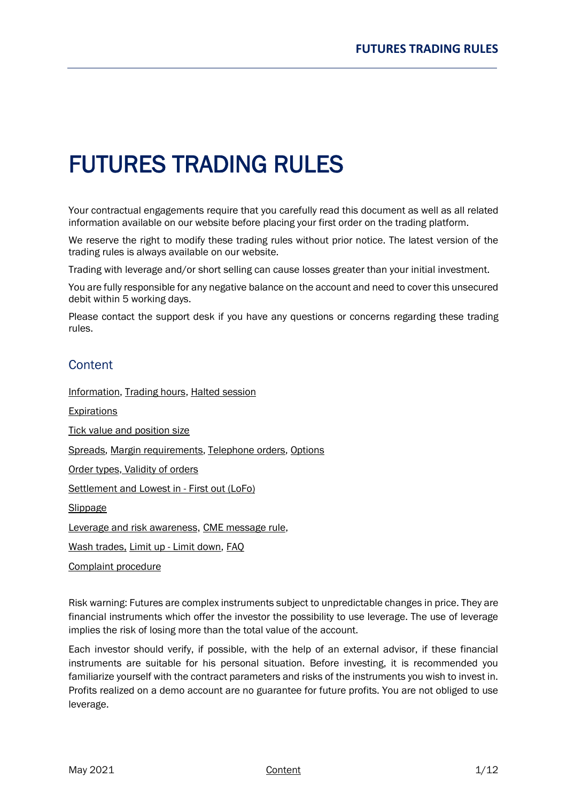# FUTURES TRADING RULES

Your contractual engagements require that you carefully read this document as well as all related information available on our website before placing your first order on the trading platform.

We reserve the right to modify these trading rules without prior notice. The latest version of the trading rules is always available on our website.

Trading with leverage and/or short selling can cause losses greater than your initial investment.

You are fully responsible for any negative balance on the account and need to cover this unsecured debit within 5 working days.

Please contact the support desk if you have any questions or concerns regarding these trading rules.

# <span id="page-0-0"></span>**Content**

[Information,](#page-1-0) [Trading hours,](#page-1-1) [Halted session](#page-1-0)

**[Expirations](#page-2-0)** 

Tick value and [position size](#page-4-0)

[Spreads,](#page-4-1) [Margin requirements,](#page-4-2) [Telephone orders,](#page-5-0) [Options](#page-5-1)

[Order types,](#page-5-2) [Validity of orders](#page-6-0)

[Settlement and](#page-7-0) Lowest in - First out (LoFo)

[Slippage](#page-8-0)

[Leverage and](#page-9-0) risk awareness, [CME message rule,](#page-9-1)

[Wash trades,](#page-10-0) Limit up - [Limit down,](#page-10-0) [FAQ](#page-10-1)

[Complaint procedure](#page-11-0)

Risk warning: Futures are complex instruments subject to unpredictable changes in price. They are financial instruments which offer the investor the possibility to use leverage. The use of leverage implies the risk of losing more than the total value of the account.

Each investor should verify, if possible, with the help of an external advisor, if these financial instruments are suitable for his personal situation. Before investing, it is recommended you familiarize yourself with the contract parameters and risks of the instruments you wish to invest in. Profits realized on a demo account are no guarantee for future profits. You are not obliged to use leverage.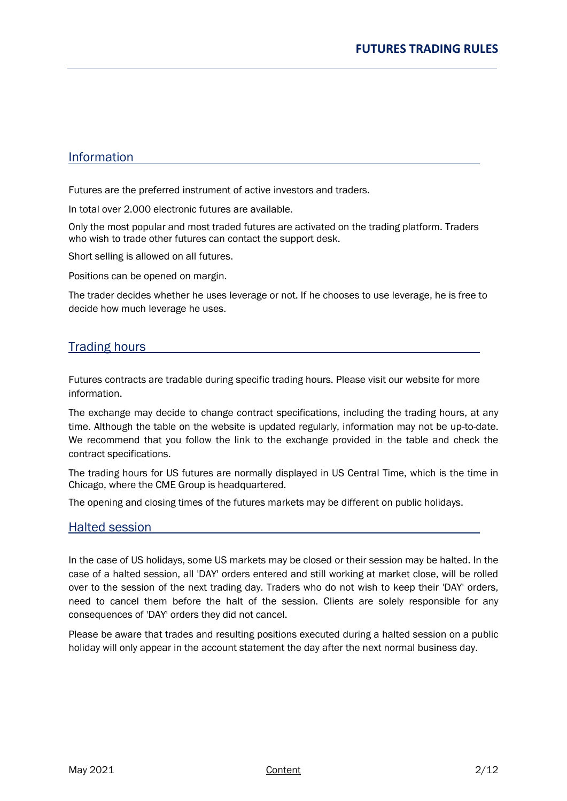## <span id="page-1-0"></span>Information

Futures are the preferred instrument of active investors and traders.

In total over 2.000 electronic futures are available.

Only the most popular and most traded futures are activated on the trading platform. Traders who wish to trade other futures can contact the support desk.

Short selling is allowed on all futures.

Positions can be opened on margin.

The trader decides whether he uses leverage or not. If he chooses to use leverage, he is free to decide how much leverage he uses.

## <span id="page-1-1"></span>**Trading hours**

Futures contracts are tradable during specific trading hours. Please visit our website for more information.

The exchange may decide to change contract specifications, including the trading hours, at any time. Although the table on the website is updated regularly, information may not be up-to-date. We recommend that you follow the link to the exchange provided in the table and check the contract specifications.

The trading hours for US futures are normally displayed in US Central Time, which is the time in Chicago, where the CME Group is headquartered.

The opening and closing times of the futures markets may be different on public holidays.

## Halted session

In the case of US holidays, some US markets may be closed or their session may be halted. In the case of a halted session, all 'DAY' orders entered and still working at market close, will be rolled over to the session of the next trading day. Traders who do not wish to keep their 'DAY' orders, need to cancel them before the halt of the session. Clients are solely responsible for any consequences of 'DAY' orders they did not cancel.

Please be aware that trades and resulting positions executed during a halted session on a public holiday will only appear in the account statement the day after the next normal business day.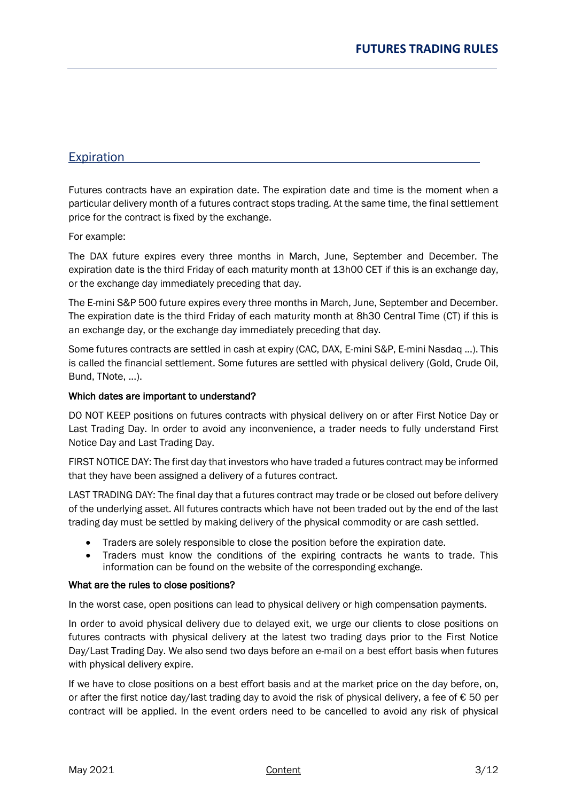# <span id="page-2-0"></span>**Expiration**

Futures contracts have an expiration date. The expiration date and time is the moment when a particular delivery month of a futures contract stops trading. At the same time, the final settlement price for the contract is fixed by the exchange.

For example:

The DAX future expires every three months in March, June, September and December. The expiration date is the third Friday of each maturity month at 13h00 CET if this is an exchange day, or the exchange day immediately preceding that day.

The E-mini S&P 500 future expires every three months in March, June, September and December. The expiration date is the third Friday of each maturity month at 8h30 Central Time (CT) if this is an exchange day, or the exchange day immediately preceding that day.

Some futures contracts are settled in cash at expiry (CAC, DAX, E-mini S&P, E-mini Nasdaq ...). This is called the financial settlement. Some futures are settled with physical delivery (Gold, Crude Oil, Bund, TNote, ...).

#### Which dates are important to understand?

DO NOT KEEP positions on futures contracts with physical delivery on or after First Notice Day or Last Trading Day. In order to avoid any inconvenience, a trader needs to fully understand First Notice Day and Last Trading Day.

FIRST NOTICE DAY: The first day that investors who have traded a futures contract may be informed that they have been assigned a delivery of a futures contract.

LAST TRADING DAY: The final day that a futures contract may trade or be closed out before delivery of the underlying asset. All futures contracts which have not been traded out by the end of the last trading day must be settled by making delivery of the physical commodity or are cash settled.

- Traders are solely responsible to close the position before the expiration date.
- Traders must know the conditions of the expiring contracts he wants to trade. This information can be found on the website of the corresponding exchange.

#### What are the rules to close positions?

In the worst case, open positions can lead to physical delivery or high compensation payments.

In order to avoid physical delivery due to delayed exit, we urge our clients to close positions on futures contracts with physical delivery at the latest two trading days prior to the First Notice Day/Last Trading Day. We also send two days before an e-mail on a best effort basis when futures with physical delivery expire.

If we have to close positions on a best effort basis and at the market price on the day before, on, or after the first notice day/last trading day to avoid the risk of physical delivery, a fee of € 50 per contract will be applied. In the event orders need to be cancelled to avoid any risk of physical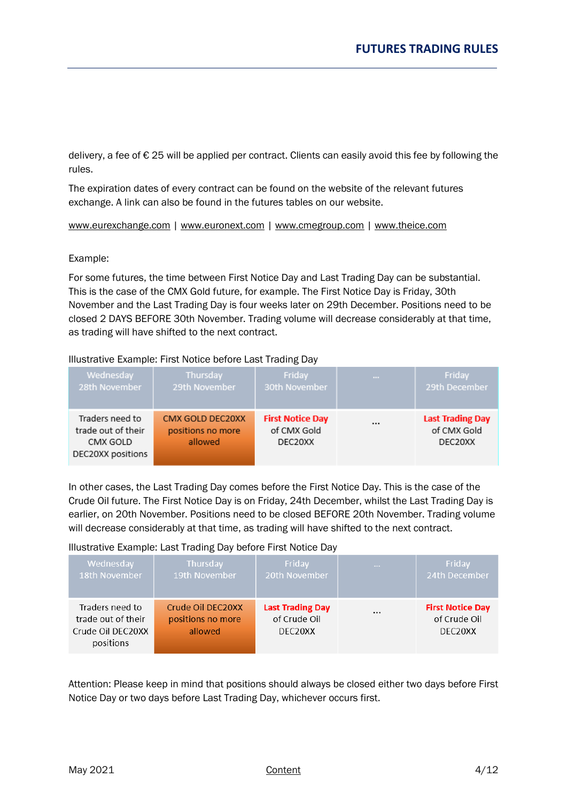delivery, a fee of  $\epsilon$  25 will be applied per contract. Clients can easily avoid this fee by following the rules.

The expiration dates of every contract can be found on the website of the relevant futures exchange. A link can also be found in the futures tables on our website.

[www.eurexchange.com](http://www.eurexchange.com/) | [www.euronext.com](http://www.euronext.com/) | [www.cmegroup.com](http://www.cmegroup.com/) | [www.theice.com](http://www.theice.com/)

Example:

For some futures, the time between First Notice Day and Last Trading Day can be substantial. This is the case of the CMX Gold future, for example. The First Notice Day is Friday, 30th November and the Last Trading Day is four weeks later on 29th December. Positions need to be closed 2 DAYS BEFORE 30th November. Trading volume will decrease considerably at that time, as trading will have shifted to the next contract.

#### Illustrative Example: First Notice before Last Trading Day

| Wednesday                                                              | Thursday                                         | Friday                                            | $\sim$ | Friday                                            |
|------------------------------------------------------------------------|--------------------------------------------------|---------------------------------------------------|--------|---------------------------------------------------|
| 28th November                                                          | 29th November                                    | 30th November                                     |        | 29th December                                     |
| Traders need to<br>trade out of their<br>CMX GOLD<br>DEC20XX positions | CMX GOLD DEC20XX<br>positions no more<br>allowed | <b>First Notice Day</b><br>of CMX Gold<br>DEC20XX |        | <b>Last Trading Day</b><br>of CMX Gold<br>DEC20XX |

In other cases, the Last Trading Day comes before the First Notice Day. This is the case of the Crude Oil future. The First Notice Day is on Friday, 24th December, whilst the Last Trading Day is earlier, on 20th November. Positions need to be closed BEFORE 20th November. Trading volume will decrease considerably at that time, as trading will have shifted to the next contract.

## Illustrative Example: Last Trading Day before First Notice Day

| Wednesday                                                               | <b>Thursday</b>                                   | Friday                                                          | $-1$     | Friday                                             |
|-------------------------------------------------------------------------|---------------------------------------------------|-----------------------------------------------------------------|----------|----------------------------------------------------|
| 18th November                                                           | 19th November                                     | 20th November                                                   |          | 24th December                                      |
| Traders need to<br>trade out of their<br>Crude Oil DEC20XX<br>positions | Crude Oil DEC20XX<br>positions no more<br>allowed | <b>Last Trading Day</b><br>of Crude Oil<br>DEC <sub>20</sub> XX | $\cdots$ | <b>First Notice Day</b><br>of Crude Oil<br>DEC20XX |

Attention: Please keep in mind that positions should always be closed either two days before First Notice Day or two days before Last Trading Day, whichever occurs first.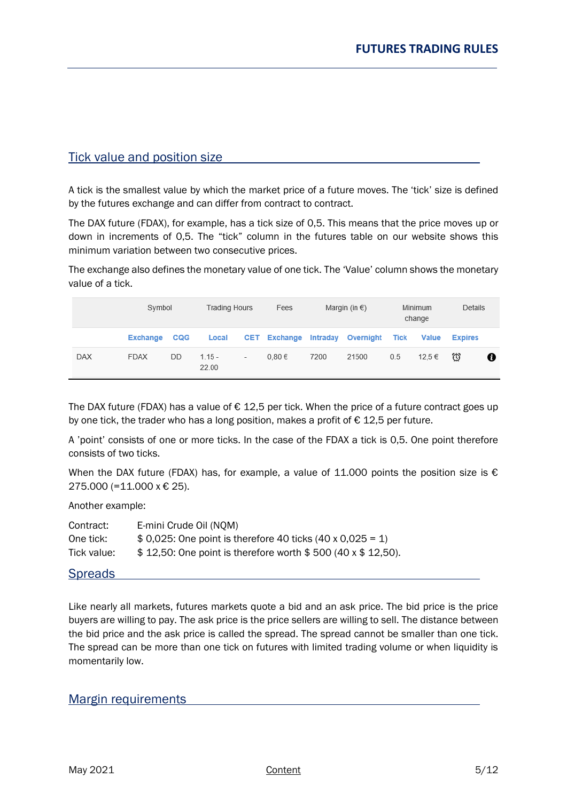## <span id="page-4-0"></span>Tick value and position size

A tick is the smallest value by which the market price of a future moves. The 'tick' size is defined by the futures exchange and can differ from contract to contract.

The DAX future (FDAX), for example, has a tick size of 0,5. This means that the price moves up or down in increments of 0,5. The "tick" column in the futures table on our website shows this minimum variation between two consecutive prices.

The exchange also defines the monetary value of one tick. The 'Value' column shows the monetary value of a tick.

|            | Symbol          |            |                   | <b>Trading Hours</b><br>Fees |                     |                 | Margin (in $\epsilon$ ) |      | Minimum<br>change | Details        |   |
|------------|-----------------|------------|-------------------|------------------------------|---------------------|-----------------|-------------------------|------|-------------------|----------------|---|
|            | <b>Exchange</b> | <b>CQG</b> | Local             |                              | <b>CET</b> Exchange | <b>Intraday</b> | Overnight               | Tick | <b>Value</b>      | <b>Expires</b> |   |
| <b>DAX</b> | <b>FDAX</b>     | DD         | $1.15 -$<br>22.00 | $\overline{\phantom{a}}$     | $0.80 \in$          | 7200            | 21500                   | 0.5  | 12.5 €            | ₩              | Ø |

The DAX future (FDAX) has a value of  $\epsilon$  12,5 per tick. When the price of a future contract goes up by one tick, the trader who has a long position, makes a profit of  $\epsilon$  12,5 per future.

A 'point' consists of one or more ticks. In the case of the FDAX a tick is 0,5. One point therefore consists of two ticks.

When the DAX future (FDAX) has, for example, a value of 11.000 points the position size is  $\epsilon$ 275.000 (=11.000 x € 25).

Another example:

| Contract:   | E-mini Crude Oil (NOM)                                            |
|-------------|-------------------------------------------------------------------|
| One tick:   | \$ 0,025: One point is therefore 40 ticks $(40 \times 0.025 = 1)$ |
| Tick value: | \$12,50: One point is therefore worth \$500 (40 x \$12,50).       |

## <span id="page-4-1"></span>**Spreads**

Like nearly all markets, futures markets quote a bid and an ask price. The bid price is the price buyers are willing to pay. The ask price is the price sellers are willing to sell. The distance between the bid price and the ask price is called the spread. The spread cannot be smaller than one tick. The spread can be more than one tick on futures with limited trading volume or when liquidity is momentarily low.

## <span id="page-4-2"></span>Margin requirements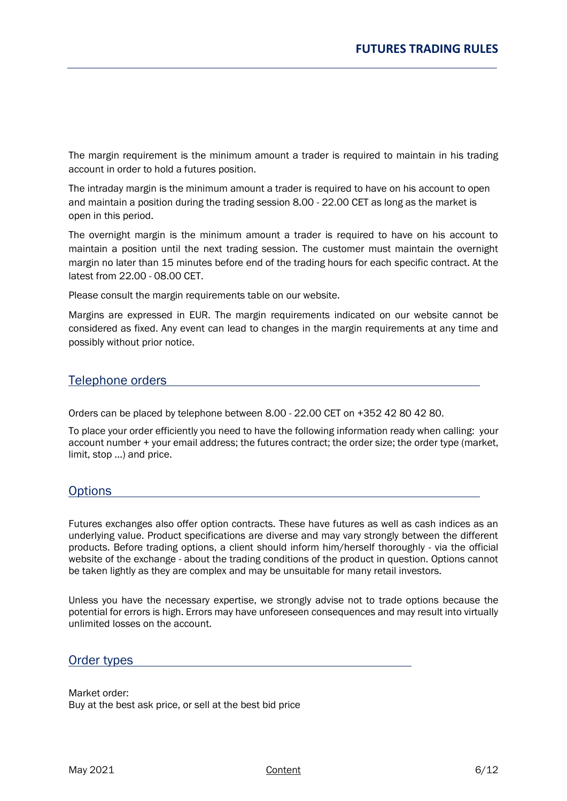The margin requirement is the minimum amount a trader is required to maintain in his trading account in order to hold a futures position.

The intraday margin is the minimum amount a trader is required to have on his account to open and maintain a position during the trading session 8.00 - 22.00 CET as long as the market is open in this period.

The overnight margin is the minimum amount a trader is required to have on his account to maintain a position until the next trading session. The customer must maintain the overnight margin no later than 15 minutes before end of the trading hours for each specific contract. At the latest from 22.00 - 08.00 CET.

Please consult the margin requirements table on our website.

Margins are expressed in EUR. The margin requirements indicated on our website cannot be considered as fixed. Any event can lead to changes in the margin requirements at any time and possibly without prior notice.

## <span id="page-5-0"></span>Telephone orders

Orders can be placed by telephone between 8.00 - 22.00 CET on +352 42 80 42 80.

To place your order efficiently you need to have the following information ready when calling: your account number + your email address; the futures contract; the order size; the order type (market, limit, stop ...) and price.

## <span id="page-5-1"></span>**Options**

Futures exchanges also offer option contracts. These have futures as well as cash indices as an underlying value. Product specifications are diverse and may vary strongly between the different products. Before trading options, a client should inform him/herself thoroughly - via the official website of the exchange - about the trading conditions of the product in question. Options cannot be taken lightly as they are complex and may be unsuitable for many retail investors.

Unless you have the necessary expertise, we strongly advise not to trade options because the potential for errors is high. Errors may have unforeseen consequences and may result into virtually unlimited losses on the account.

## <span id="page-5-2"></span>Order types

Market order: Buy at the best ask price, or sell at the best bid price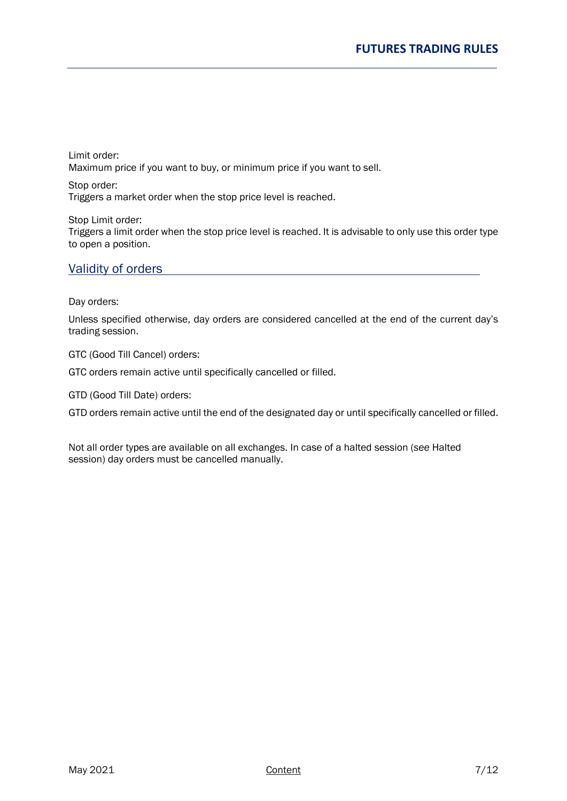Limit order: Maximum price if you want to buy, or minimum price if you want to sell.

Stop order: Triggers a market order when the stop price level is reached.

Stop Limit order: Triggers a limit order when the stop price level is reached. It is advisable to only use this order type to open a position.

## <span id="page-6-0"></span>Validity of orders

Day orders:

Unless specified otherwise, day orders are considered cancelled at the end of the current day's trading session.

GTC (Good Till Cancel) orders:

GTC orders remain active until specifically cancelled or filled.

GTD (Good Till Date) orders:

GTD orders remain active until the end of the designated day or until specifically cancelled or filled.

Not all order types are available on all exchanges. In case of a halted session (*see* Halted session) day orders must be cancelled manually.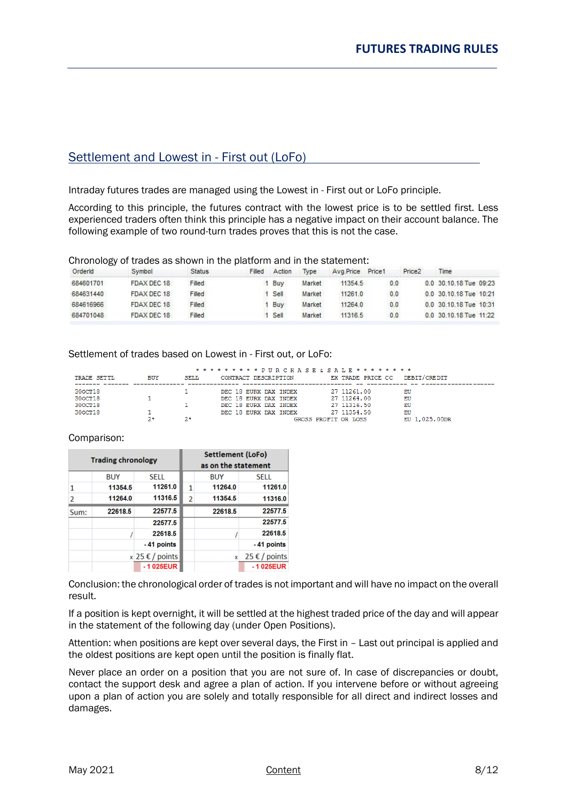# <span id="page-7-0"></span>Settlement and Lowest in - First out (LoFo)

Intraday futures trades are managed using the Lowest in - First out or LoFo principle.

According to this principle, the futures contract with the lowest price is to be settled first. Less experienced traders often think this principle has a negative impact on their account balance. The following example of two round-turn trades proves that this is not the case.

Chronology of trades as shown in the platform and in the statement:

| Orderld   | Symbol      | <b>Status</b> | Filled | Action | <b>Type</b> | Avg.Price | Price1 | Price <sub>2</sub> | Time                   |
|-----------|-------------|---------------|--------|--------|-------------|-----------|--------|--------------------|------------------------|
| 684601701 | FDAX DEC 18 | Filled        |        | Buv    | Market      | 11354.5   | 0.0    |                    | 0.0 30.10.18 Tue 09:23 |
| 684631440 | FDAX DEC 18 | Filled        |        | Sell   | Market      | 11261.0   | 0.0    |                    | 0.0 30.10.18 Tue 10:21 |
| 684616966 | FDAX DEC 18 | Filled        |        | Buy    | Market      | 11264.0   | 0.0    |                    | 0.0 30.10.18 Tue 10:31 |
| 684701048 | FDAX DEC 18 | Filled        |        | Sell   | Market      | 11316.5   | 0.0    |                    | 0.0 30.10.18 Tue 11:22 |

Settlement of trades based on Lowest in - First out, or LoFo:

|             |            |             | * * * * * * * * * PUR CHASE & SALE * * * * * * * * * |                      |               |
|-------------|------------|-------------|------------------------------------------------------|----------------------|---------------|
| TRADE SETTL | <b>BUY</b> | <b>SELL</b> | CONTRACT DESCRIPTION                                 | EX TRADE PRICE CC    | DEBIT/CREDIT  |
| 300CT18     |            |             | DEC 18 EURX DAX INDEX                                | 27 11261.00          | EU            |
| 300CT18     |            |             | DEC 18 EURX DAX INDEX                                | 27 11264.00          | EU            |
| 300CT18     |            |             | DEC 18 EURX DAX INDEX                                | 27 11316.50          | EU            |
| 300CT18     |            |             | DEC 18 EURX DAX INDEX                                | 27 11354.50          | EU            |
|             |            | 2*          |                                                      | GROSS PROFIT OR LOSS | EU 1,025,00DR |

#### Comparison:

|                         | <b>Trading chronology</b> |                   |                | <b>Settlement (LoFo)</b><br>as on the statement |                      |
|-------------------------|---------------------------|-------------------|----------------|-------------------------------------------------|----------------------|
|                         | <b>BUY</b>                | <b>SELL</b>       |                | <b>BUY</b>                                      | <b>SELL</b>          |
| 1                       | 11354.5                   | 11261.0           | 1              | 11264.0                                         | 11261.0              |
| $\overline{\mathbf{c}}$ | 11264.0                   | 11316.5           | $\overline{2}$ | 11354.5                                         | 11316.0              |
| Sum:                    | 22618.5                   | 22577.5           |                | 22618.5                                         | 22577.5              |
|                         |                           | 22577.5           |                |                                                 | 22577.5              |
|                         |                           | 22618.5           |                |                                                 | 22618.5              |
|                         |                           | -41 points        |                |                                                 | -41 points           |
|                         |                           | $x$ 25 € / points |                | $\mathbf{x}$                                    | $25 \notin /$ points |
|                         |                           | $-1025EUR$        |                |                                                 | $-1025EUR$           |

Conclusion: the chronological order of trades is not important and will have no impact on the overall result.

If a position is kept overnight, it will be settled at the highest traded price of the day and will appear in the statement of the following day (under Open Positions).

Attention: when positions are kept over several days, the First in – Last out principal is applied and the oldest positions are kept open until the position is finally flat.

Never place an order on a position that you are not sure of. In case of discrepancies or doubt, contact the support desk and agree a plan of action. If you intervene before or without agreeing upon a plan of action you are solely and totally responsible for all direct and indirect losses and damages.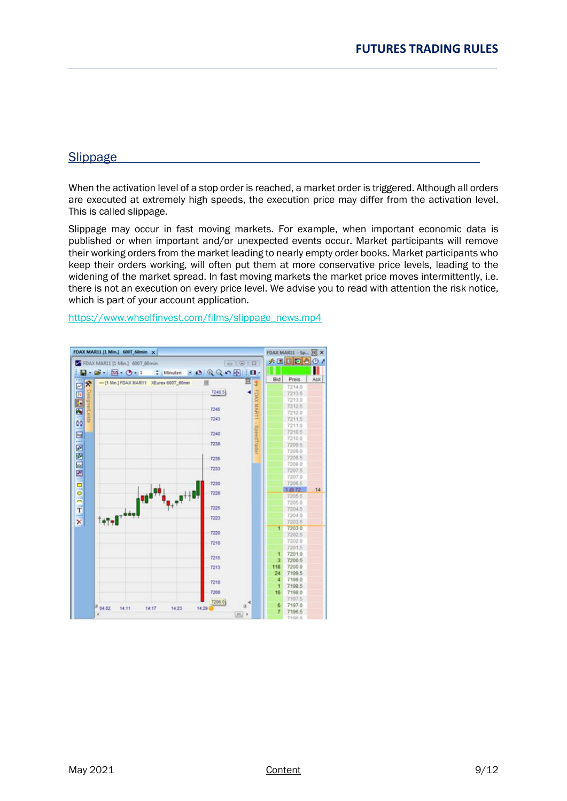## <span id="page-8-0"></span>Slippage

When the activation level of a stop order is reached, a market order is triggered. Although all orders are executed at extremely high speeds, the execution price may differ from the activation level. This is called slippage.

Slippage may occur in fast moving markets. For example, when important economic data is published or when important and/or unexpected events occur. Market participants will remove their working orders from the market leading to nearly empty order books. Market participants who keep their orders working, will often put them at more conservative price levels, leading to the widening of the market spread. In fast moving markets the market price moves intermittently, i.e. there is not an execution on every price level. We advise you to read with attention the risk notice, which is part of your account application.

[https://www.whselfinvest.com/films/slippage\\_news.mp4](https://www.whselfinvest.com/films/slippage_news.mp4)

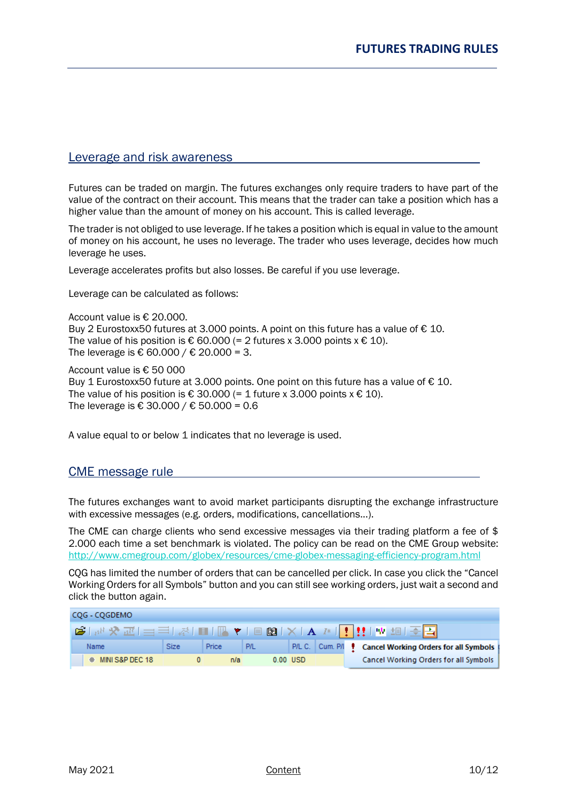## <span id="page-9-0"></span>Leverage and risk awareness

Futures can be traded on margin. The futures exchanges only require traders to have part of the value of the contract on their account. This means that the trader can take a position which has a higher value than the amount of money on his account. This is called leverage.

The trader is not obliged to use leverage. If he takes a position which is equal in value to the amount of money on his account, he uses no leverage. The trader who uses leverage, decides how much leverage he uses.

Leverage accelerates profits but also losses. Be careful if you use leverage.

Leverage can be calculated as follows:

Account value is € 20.000. Buy 2 Eurostoxx50 futures at 3.000 points. A point on this future has a value of  $\epsilon$  10. The value of his position is  $\epsilon$  60.000 (= 2 futures x 3.000 points x  $\epsilon$  10). The leverage is € 60.000 / € 20.000 = 3.

Account value is € 50 000 Buy 1 Eurostoxx50 future at 3.000 points. One point on this future has a value of  $\epsilon$  10. The value of his position is  $\epsilon$  30.000 (= 1 future x 3.000 points x  $\epsilon$  10). The leverage is € 30.000 / € 50.000 = 0.6

A value equal to or below 1 indicates that no leverage is used.

## <span id="page-9-1"></span>CME message rule

The futures exchanges want to avoid market participants disrupting the exchange infrastructure with excessive messages (e.g. orders, modifications, cancellations...).

The CME can charge clients who send excessive messages via their trading platform a fee of \$ 2.000 each time a set benchmark is violated. The policy can be read on the CME Group website: <http://www.cmegroup.com/globex/resources/cme-globex-messaging-efficiency-program.html>

CQG has limited the number of orders that can be cancelled per click. In case you click the "Cancel Working Orders for all Symbols" button and you can still see working orders, just wait a second and click the button again.

| COG - COGDEMO     |             |              |             |            |                                                                                                                                  |
|-------------------|-------------|--------------|-------------|------------|----------------------------------------------------------------------------------------------------------------------------------|
|                   |             |              |             |            | <b>G`</b>   ホ <sup> </sup> 父 丞   $\equiv$ ∃   ☆   ■   圖 ▼   ■   豳   ※   A 〃   <mark>!</mark> ‼   w 坦   <u>주 <mark>ニ</mark>  </u> |
| Name              | <b>Size</b> | <b>Price</b> | $-$ P/L $-$ |            | P/L C.   Cum. P/l   Cancel Working Orders for all Symbols                                                                        |
| ♦ MINI S&P DEC 18 |             | n/a          |             | $0.00$ USD | Cancel Working Orders for all Symbols                                                                                            |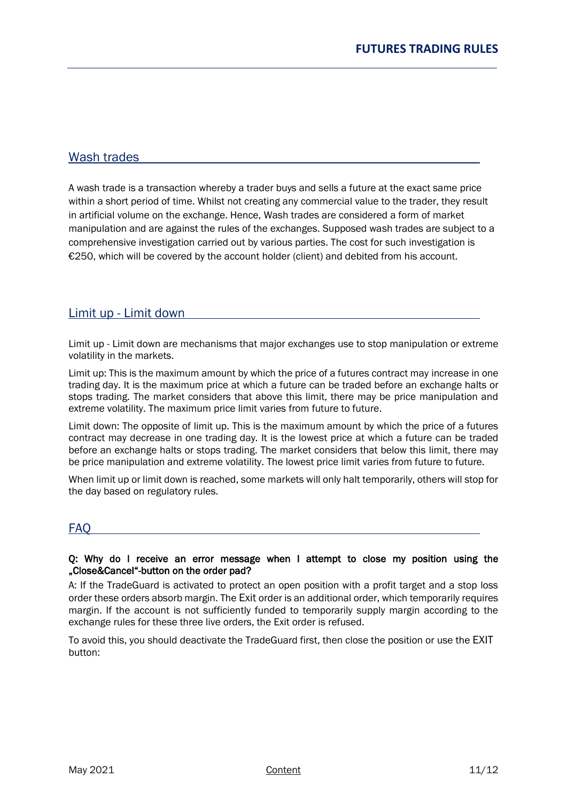## Wash trades

A wash trade is a transaction whereby a trader buys and sells a future at the exact same price within a short period of time. Whilst not creating any commercial value to the trader, they result in artificial volume on the exchange. Hence, Wash trades are considered a form of market manipulation and are against the rules of the exchanges. Supposed wash trades are subject to a comprehensive investigation carried out by various parties. The cost for such investigation is €250, which will be covered by the account holder (client) and debited from his account.

## <span id="page-10-0"></span>Limit up - Limit down

Limit up - Limit down are mechanisms that major exchanges use to stop manipulation or extreme volatility in the markets.

Limit up: This is the maximum amount by which the price of a futures contract may increase in one trading day. It is the maximum price at which a future can be traded before an exchange halts or stops trading. The market considers that above this limit, there may be price manipulation and extreme volatility. The maximum price limit varies from future to future.

Limit down: The opposite of limit up. This is the maximum amount by which the price of a futures contract may decrease in one trading day. It is the lowest price at which a future can be traded before an exchange halts or stops trading. The market considers that below this limit, there may be price manipulation and extreme volatility. The lowest price limit varies from future to future.

When limit up or limit down is reached, some markets will only halt temporarily, others will stop for the day based on regulatory rules.

## <span id="page-10-1"></span>FAQ

#### Q: Why do I receive an error message when I attempt to close my position using the "Close&Cancel"-button on the order pad?

A: If the TradeGuard is activated to protect an open position with a profit target and a stop loss order these orders absorb margin. The Exit order is an additional order, which temporarily requires margin. If the account is not sufficiently funded to temporarily supply margin according to the exchange rules for these three live orders, the Exit order is refused.

To avoid this, you should deactivate the TradeGuard first, then close the position or use the EXIT button: